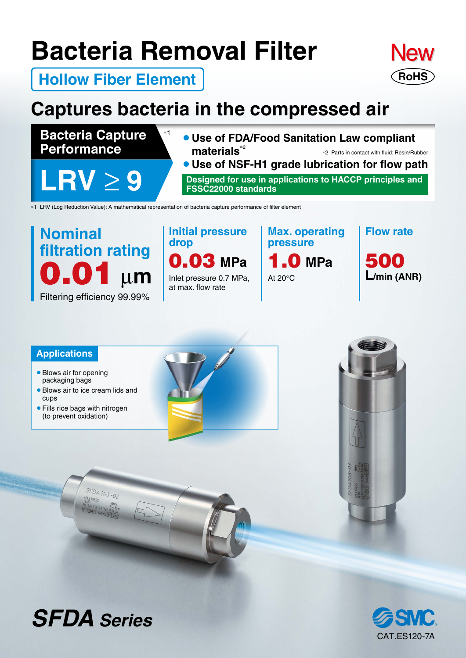# **Bacteria Removal Filter**



**Hollow Fiber Element**

## **Captures bacteria in the compressed air**

**Bacteria Capture Performance**

**LRV** ≥ **9**

¡**Use of FDA/Food Sanitation Law compliant materials**<sup>∗</sup><sup>2</sup> ¡**Use of NSF-H1 grade lubrication for flow path** ∗2 Parts in contact with fluid: Resin/Rubber

**Designed for use in applications to HACCP principles and FSSC22000 standards**

∗1 LRV (Log Reduction Value): A mathematical representation of bacteria capture performance of filter element

∗1

## $μm$ Filtering efficiency 99.99% **Nominal filtration rating**  $\begin{bmatrix} \text{a} \text{d} \text{b} \\ \text{c} \text{c} \text{d} \text{c} \end{bmatrix}$  MPa

**Initial pressure drop**

Inlet pressure 0.7 MPa, at max. flow rate



At 20°C

**Flow rate**

500 **L/min (ANR)**

### **Applications**

- Blows air for opening packaging bags
- Blows air to ice cream lids and cups

SFDA203-02

• Fills rice bags with nitrogen (to prevent oxidation)







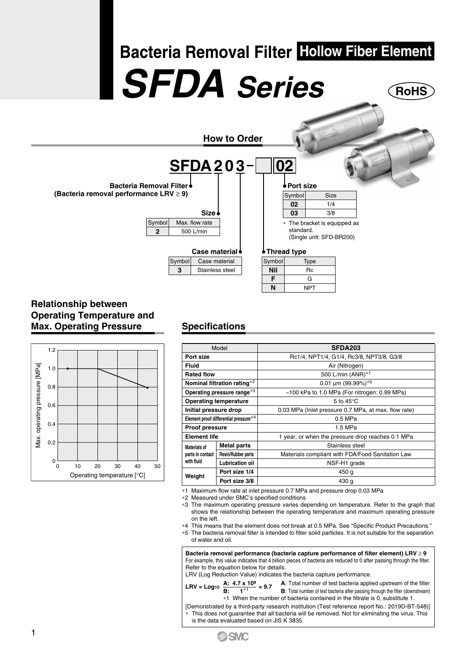# **RoHS Bacteria Removal Filter Hollow Fiber Element** *SFDA Series*

**How to Order**



### **Relationship between Operating Temperature and Max. Operating Pressure**



### **Specifications**

| Model                                          |                           | SFDA203                                              |  |
|------------------------------------------------|---------------------------|------------------------------------------------------|--|
| Port size                                      |                           | Rc1/4, NPT1/4, G1/4, Rc3/8, NPT3/8, G3/8             |  |
| <b>Fluid</b>                                   |                           | Air (Nitrogen)                                       |  |
| <b>Rated flow</b>                              |                           | 500 L/min (ANR)*1                                    |  |
| Nominal filtration rating*2                    |                           | 0.01 um (99.99%)*5                                   |  |
| Operating pressure range*3                     |                           | -100 kPa to 1.0 MPa (For nitrogen: 0.99 MPa)         |  |
| <b>Operating temperature</b>                   |                           | 5 to $45^{\circ}$ C                                  |  |
| Initial pressure drop                          |                           | 0.03 MPa (Inlet pressure 0.7 MPa, at max. flow rate) |  |
| Element proof differential pressure*4          |                           | 0.5 MPa                                              |  |
| <b>Proof pressure</b>                          |                           | 1.5 MPa                                              |  |
| <b>Element life</b>                            |                           | 1 year, or when the pressure drop reaches 0.1 MPa    |  |
| Materials of<br>parts in contact<br>with fluid | <b>Metal parts</b>        | Stainless steel                                      |  |
|                                                | <b>Resin/Rubber parts</b> | Materials compliant with FDA/Food Sanitation Law     |  |
|                                                | Lubrication oil           | NSF-H1 grade                                         |  |
| Weight                                         | Port size 1/4             | 450 g                                                |  |
|                                                | Port size 3/8             | 430 g                                                |  |

∗1 Maximum flow rate at inlet pressure 0.7 MPa and pressure drop 0.03 MPa

∗2 Measured under SMC's specified conditions

∗3 The maximum operating pressure varies depending on temperature. Refer to the graph that shows the relationship between the operating temperature and maximum operating pressure on the left.

- ∗4 This means that the element does not break at 0.5 MPa. See "Specific Product Precautions." ∗5 The bacteria removal filter is intended to filter solid particles. It is not suitable for the separation
- of water and oil.

**Bacteria removal performance (bacteria capture performance of filter element) LRV** ≥ **9** For example, this value indicates that 4 billion pieces of bacteria are reduced to 0 after passing through the filter. Refer to the equation below for details.

LRV (Log Reduction Value) indicates the bacteria capture performance.

**LRV** = Log<sub>10</sub>  $\frac{A: 4.7 \times 10^9}{B: 1^{*1}} = 9.7$ A: Total number of test bacteria applied upstream of the filter

**B**: Total number of test bacteria after passing through the filter (downstream) \*1 When the number of bacteria contained in the filtrate is 0, substitute 1.

[Demonstrated by a third-party research institution (Test reference report No.: 2019D-BT-548)] This does not guarantee that all bacteria will be removed. Not for eliminating the virus. This is the data evaluated based on JIS K 3835.



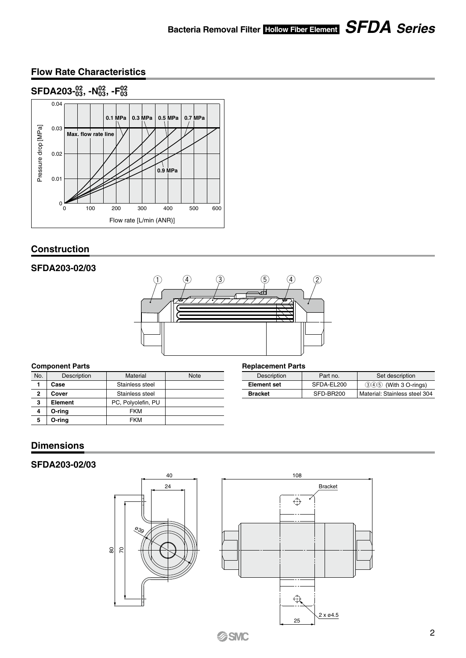### **Bacteria Removal Filter Hollow Fiber Element** *SFDA Series*

### **Flow Rate Characteristics**



### **Construction**

### **SFDA203-02/03**



| No.          | Description | Material           | <b>Note</b> |
|--------------|-------------|--------------------|-------------|
|              | Case        | Stainless steel    |             |
| $\mathbf{2}$ | Cover       | Stainless steel    |             |
| 3            | Element     | PC, Polyolefin, PU |             |
| 4            | O-ring      | <b>FKM</b>         |             |
| 5            | O-ring      | <b>FKM</b>         |             |

#### **Component Parts Component Parts Replacement Parts**

| Description        | Part no.   | Set description               |
|--------------------|------------|-------------------------------|
| <b>Element set</b> | SFDA-EL200 | $(3)(4)(5)$ (With 3 O-rings)  |
| <b>Bracket</b>     | SFD-BR200  | Material: Stainless steel 304 |

### **Dimensions**

### **SFDA203-02/03**

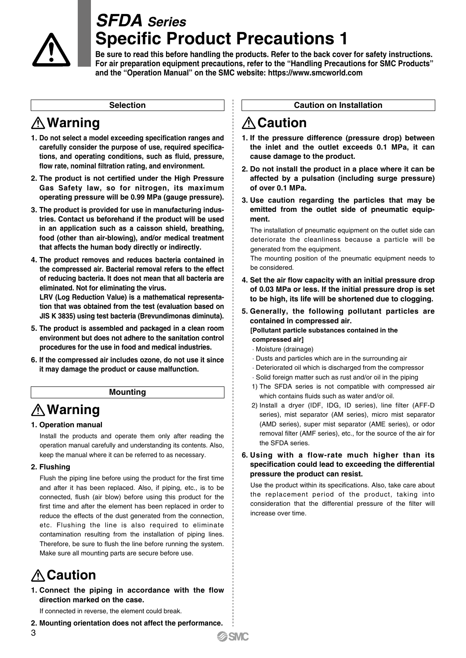

## *SFDA Series* **Specific Product Precautions 1**

**Be sure to read this before handling the products. Refer to the back cover for safety instructions. For air preparation equipment precautions, refer to the "Handling Precautions for SMC Products" and the "Operation Manual" on the SMC website: https://www.smcworld.com**

#### **Selection**

### **Warning**

- **1. Do not select a model exceeding specification ranges and carefully consider the purpose of use, required specifications, and operating conditions, such as fluid, pressure, flow rate, nominal filtration rating, and environment.**
- **2. The product is not certified under the High Pressure Gas Safety law, so for nitrogen, its maximum operating pressure will be 0.99 MPa (gauge pressure).**
- **3. The product is provided for use in manufacturing industries. Contact us beforehand if the product will be used in an application such as a caisson shield, breathing, food (other than air-blowing), and/or medical treatment that affects the human body directly or indirectly.**
- **4. The product removes and reduces bacteria contained in the compressed air. Bacterial removal refers to the effect of reducing bacteria. It does not mean that all bacteria are eliminated. Not for eliminating the virus.**

**LRV (Log Reduction Value) is a mathematical representation that was obtained from the test (evaluation based on JIS K 3835) using test bacteria (Brevundimonas diminuta).**

- **5. The product is assembled and packaged in a clean room environment but does not adhere to the sanitation control procedures for the use in food and medical industries.**
- **6. If the compressed air includes ozone, do not use it since it may damage the product or cause malfunction.**

#### **Mounting**

### **Warning**

### **1. Operation manual**

Install the products and operate them only after reading the operation manual carefully and understanding its contents. Also, keep the manual where it can be referred to as necessary.

### **2. Flushing**

Flush the piping line before using the product for the first time and after it has been replaced. Also, if piping, etc., is to be connected, flush (air blow) before using this product for the first time and after the element has been replaced in order to reduce the effects of the dust generated from the connection, etc. Flushing the line is also required to eliminate contamination resulting from the installation of piping lines. Therefore, be sure to flush the line before running the system. Make sure all mounting parts are secure before use.

### **Caution**

3

**1. Connect the piping in accordance with the flow direction marked on the case.**

If connected in reverse, the element could break.

#### **2. Mounting orientation does not affect the performance.**

### **Caution on Installation**

### **A** Caution

- **1. If the pressure difference (pressure drop) between the inlet and the outlet exceeds 0.1 MPa, it can cause damage to the product.**
- **2. Do not install the product in a place where it can be affected by a pulsation (including surge pressure) of over 0.1 MPa.**
- **3. Use caution regarding the particles that may be emitted from the outlet side of pneumatic equipment.**

The installation of pneumatic equipment on the outlet side can deteriorate the cleanliness because a particle will be generated from the equipment.

The mounting position of the pneumatic equipment needs to be considered.

- **4. Set the air flow capacity with an initial pressure drop of 0.03 MPa or less. If the initial pressure drop is set to be high, its life will be shortened due to clogging.**
- **5. Generally, the following pollutant particles are contained in compressed air.**

**[Pollutant particle substances contained in the compressed air]**

- · Moisture (drainage)
- · Dusts and particles which are in the surrounding air
- · Deteriorated oil which is discharged from the compressor
- · Solid foreign matter such as rust and/or oil in the piping
- 1) The SFDA series is not compatible with compressed air which contains fluids such as water and/or oil.
- 2) Install a dryer (IDF, IDG, ID series), line filter (AFF-D series), mist separator (AM series), micro mist separator (AMD series), super mist separator (AME series), or odor removal filter (AMF series), etc., for the source of the air for the SFDA series.

#### **6. Using with a flow-rate much higher than its specification could lead to exceeding the differential pressure the product can resist.**

Use the product within its specifications. Also, take care about the replacement period of the product, taking into consideration that the differential pressure of the filter will increase over time.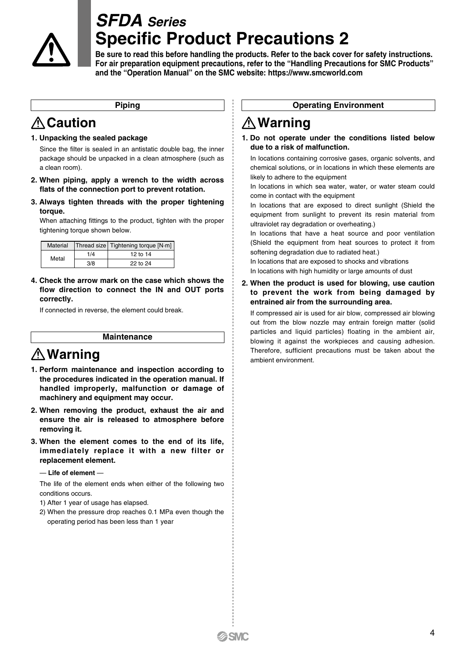

## *SFDA Series* **Specific Product Precautions 2**

**Be sure to read this before handling the products. Refer to the back cover for safety instructions. For air preparation equipment precautions, refer to the "Handling Precautions for SMC Products" and the "Operation Manual" on the SMC website: https://www.smcworld.com**

#### **Piping**

### **Caution**

### **1. Unpacking the sealed package**

Since the filter is sealed in an antistatic double bag, the inner package should be unpacked in a clean atmosphere (such as a clean room).

- **2. When piping, apply a wrench to the width across flats of the connection port to prevent rotation.**
- **3. Always tighten threads with the proper tightening torque.**

When attaching fittings to the product, tighten with the proper tightening torque shown below.

| Material |     | Thread size   Tightening torque [N·m] |
|----------|-----|---------------------------------------|
| Metal    | 1/4 | 12 to 14                              |
|          | 3/8 | 22 to 24                              |

**4. Check the arrow mark on the case which shows the flow direction to connect the IN and OUT ports correctly.**

If connected in reverse, the element could break.

### **Maintenance**

### **Warning**

- **1. Perform maintenance and inspection according to the procedures indicated in the operation manual. If handled improperly, malfunction or damage of machinery and equipment may occur.**
- **2. When removing the product, exhaust the air and ensure the air is released to atmosphere before removing it.**
- **3. When the element comes to the end of its life, immediately replace it with a new filter or replacement element.**

#### — **Life of element** —

The life of the element ends when either of the following two conditions occurs.

- 1) After 1 year of usage has elapsed.
- 2) When the pressure drop reaches 0.1 MPa even though the operating period has been less than 1 year

### **Operating Environment**

### **Warning**

#### **1. Do not operate under the conditions listed below due to a risk of malfunction.**

In locations containing corrosive gases, organic solvents, and chemical solutions, or in locations in which these elements are likely to adhere to the equipment

In locations in which sea water, water, or water steam could come in contact with the equipment

In locations that are exposed to direct sunlight (Shield the equipment from sunlight to prevent its resin material from ultraviolet ray degradation or overheating.)

In locations that have a heat source and poor ventilation (Shield the equipment from heat sources to protect it from softening degradation due to radiated heat.)

In locations that are exposed to shocks and vibrations In locations with high humidity or large amounts of dust

### **2. When the product is used for blowing, use caution to prevent the work from being damaged by entrained air from the surrounding area.**

If compressed air is used for air blow, compressed air blowing out from the blow nozzle may entrain foreign matter (solid particles and liquid particles) floating in the ambient air, blowing it against the workpieces and causing adhesion. Therefore, sufficient precautions must be taken about the ambient environment.